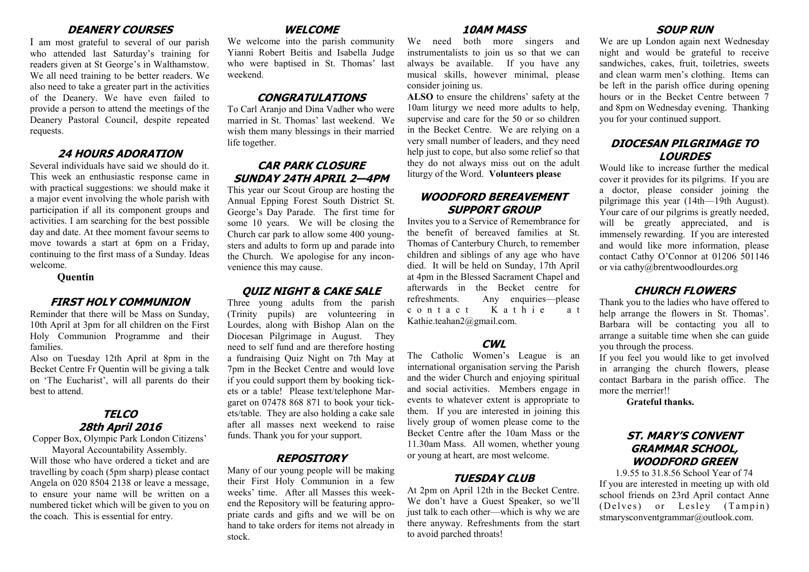### **DEANERY COURSES**

I am most grateful to several of our parish who attended last Saturday's training for readers given at St George's in Walthamstow. We all need training to be better readers. We also need to take a greater part in the activities of the Deanery. We have even failed to provide a person to attend the meetings of the Deanery Pastoral Council, despite repeated requests.

# **24 HOURS ADORATION**

Several individuals have said we should do it. This week an enthusiastic response came in with practical suggestions: we should make it a major event involving the whole parish with participation if all its component groups and activities. I am searching for the best possible day and date. At thee moment favour seems to move towards a start at 6pm on a Friday, continuing to the first mass of a Sunday. Ideas welcome.

#### **Quentin**

#### **FIRST HOLY COMMUNION**

Reminder that there will be Mass on Sunday, 10th April at 3pm for all children on the First Holy Communion Programme and their families.

Also on Tuesday 12th April at 8pm in the Becket Centre Fr Quentin will be giving a talk on 'The Eucharist', will all parents do their best to attend.

# **TELCO 28th April 2016**

Copper Box, Olympic Park London Citizens' Mayoral Accountability Assembly.

Will those who have ordered a ticket and are travelling by coach (5pm sharp) please contact Angela on 020 8504 2138 or leave a message, to ensure your name will be written on a numbered ticket which will be given to you on the coach. This is essential for entry.

## **WELCOME**

We welcome into the parish community Yianni Robert Beitis and Isabella Judge who were baptised in St. Thomas' last weekend.

## **CONGRATULATIONS**

To Carl Aranjo and Dina Vadher who were married in St. Thomas' last weekend. We wish them many blessings in their married life together.

# **CAR PARK CLOSURE SUNDAY 24TH APRIL 2—4PM**

This year our Scout Group are hosting the Annual Epping Forest South District St. George's Day Parade. The first time for some 10 years. We will be closing the Church car park to allow some 400 youngsters and adults to form up and parade into the Church. We apologise for any inconvenience this may cause.

#### **QUIZ NIGHT & CAKE SALE**

Three young adults from the parish (Trinity pupils) are volunteering in Lourdes, along with Bishop Alan on the Diocesan Pilgrimage in August. They need to self fund and are therefore hosting a fundraising Quiz Night on 7th May at 7pm in the Becket Centre and would love if you could support them by booking tickets or a table! Please text/telephone Margaret on 07478 868 871 to book your tickets/table. They are also holding a cake sale after all masses next weekend to raise funds. Thank you for your support.

#### **REPOSITORY**

Many of our young people will be making their First Holy Communion in a few weeks' time. After all Masses this weekend the Repository will be featuring appropriate cards and gifts and we will be on hand to take orders for items not already in stock.

## **10AM MASS**

We need both more singers and instrumentalists to join us so that we can always be available. If you have any musical skills, however minimal, please consider joining us.

**ALSO** to ensure the childrens' safety at the 10am liturgy we need more adults to help, supervise and care for the 50 or so children in the Becket Centre. We are relying on a very small number of leaders, and they need help just to cope, but also some relief so that they do not always miss out on the adult liturgy of the Word. **Volunteers please**

# **WOODFORD BEREAVEMENT SUPPORT GROUP**

Invites you to a Service of Remembrance for the benefit of bereaved families at St. Thomas of Canterbury Church, to remember children and siblings of any age who have died. It will be held on Sunday, 17th April at 4pm in the Blessed Sacrament Chapel and afterwards in the Becket centre for refreshments. Any enquiries—please c o n t a c t K a t h i e a t Kathie.teahan2@gmail.com.

# **CWL**

The Catholic Women's League is an international organisation serving the Parish and the wider Church and enjoying spiritual and social activities. Members engage in events to whatever extent is appropriate to them. If you are interested in joining this lively group of women please come to the Becket Centre after the 10am Mass or the 11.30am Mass. All women, whether young or young at heart, are most welcome.

## **TUESDAY CLUB**

At 2pm on April 12th in the Becket Centre. We don't have a Guest Speaker, so we'll just talk to each other—which is why we are there anyway. Refreshments from the start to avoid parched throats!

# **SOUP RUN**

We are up London again next Wednesday night and would be grateful to receive sandwiches, cakes, fruit, toiletries, sweets and clean warm men's clothing. Items can be left in the parish office during opening hours or in the Becket Centre between 7 and 8pm on Wednesday evening. Thanking you for your continued support.

# **DIOCESAN PILGRIMAGE TO LOURDES**

Would like to increase further the medical cover it provides for its pilgrims. If you are a doctor, please consider joining the pilgrimage this year (14th—19th August). Your care of our pilgrims is greatly needed, will be greatly appreciated, and is immensely rewarding. If you are interested and would like more information, please contact Cathy O'Connor at 01206 501146 or via cathy@brentwoodlourdes.org

## **CHURCH FLOWERS**

Thank you to the ladies who have offered to help arrange the flowers in St. Thomas'. Barbara will be contacting you all to arrange a suitable time when she can guide you through the process.

If you feel you would like to get involved in arranging the church flowers, please contact Barbara in the parish office. The more the merrier!!

**Grateful thanks.**

# **ST. MARY'S CONVENT GRAMMAR SCHOOL, WOODFORD GREEN**

1.9.55 to 31.8.56 School Year of 74 If you are interested in meeting up with old school friends on 23rd April contact Anne ( Delves) or Lesley (Tampin) stmarysconventgrammar@outlook.com.